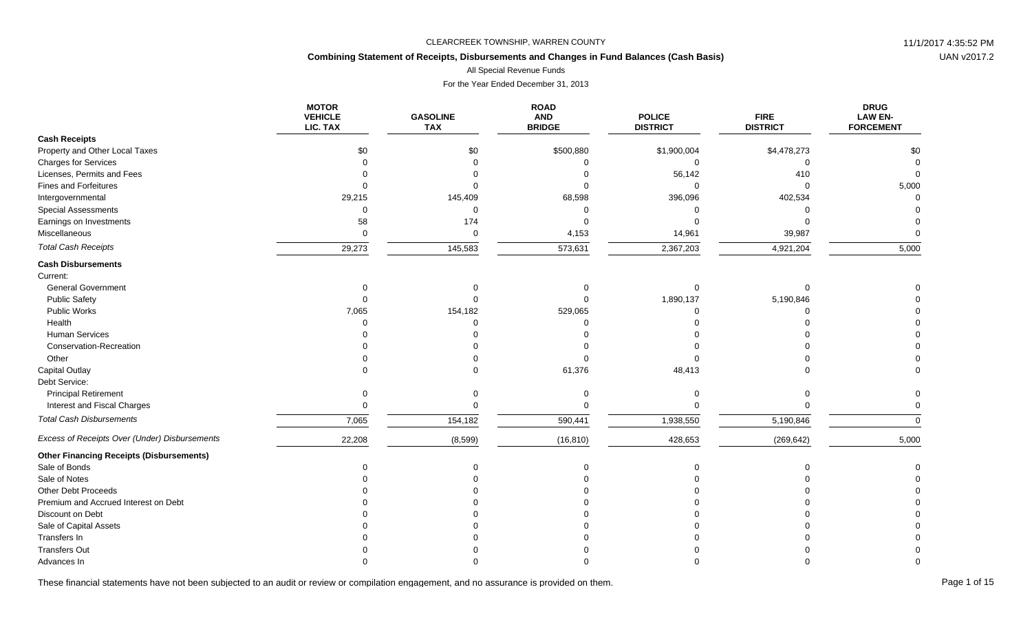# **Combining Statement of Receipts, Disbursements and Changes in Fund Balances (Cash Basis)**

All Special Revenue Funds

For the Year Ended December 31, 2013

|                                                 | <b>MOTOR</b><br><b>VEHICLE</b><br>LIC. TAX | <b>GASOLINE</b><br><b>TAX</b> | <b>ROAD</b><br><b>AND</b><br><b>BRIDGE</b> | <b>POLICE</b><br><b>DISTRICT</b> | <b>FIRE</b><br><b>DISTRICT</b> | <b>DRUG</b><br><b>LAW EN-</b><br><b>FORCEMENT</b> |
|-------------------------------------------------|--------------------------------------------|-------------------------------|--------------------------------------------|----------------------------------|--------------------------------|---------------------------------------------------|
| <b>Cash Receipts</b>                            |                                            |                               |                                            |                                  |                                |                                                   |
| Property and Other Local Taxes                  | \$0                                        | \$0                           | \$500,880                                  | \$1,900,004                      | \$4,478,273                    | \$0                                               |
| <b>Charges for Services</b>                     |                                            |                               | $\Omega$                                   | $\Omega$                         | $\Omega$                       |                                                   |
| Licenses, Permits and Fees                      |                                            |                               |                                            | 56,142                           | 410                            |                                                   |
| Fines and Forfeitures                           |                                            |                               |                                            | U                                | $\Omega$                       | 5,000                                             |
| Intergovernmental                               | 29,215                                     | 145,409                       | 68,598                                     | 396,096                          | 402,534                        |                                                   |
| <b>Special Assessments</b>                      |                                            | $\Omega$                      | $\Omega$                                   |                                  | n                              |                                                   |
| Earnings on Investments                         | 58                                         | 174                           |                                            |                                  |                                |                                                   |
| Miscellaneous                                   | $\Omega$                                   | $\mathbf 0$                   | 4,153                                      | 14,961                           | 39,987                         |                                                   |
| <b>Total Cash Receipts</b>                      | 29,273                                     | 145,583                       | 573,631                                    | 2,367,203                        | 4,921,204                      | 5,000                                             |
| <b>Cash Disbursements</b>                       |                                            |                               |                                            |                                  |                                |                                                   |
| Current:                                        |                                            |                               |                                            |                                  |                                |                                                   |
| <b>General Government</b>                       |                                            |                               |                                            | $\Omega$                         |                                |                                                   |
| <b>Public Safety</b>                            |                                            |                               |                                            | 1,890,137                        | 5,190,846                      |                                                   |
| <b>Public Works</b>                             | 7,065                                      | 154,182                       | 529,065                                    | O                                |                                |                                                   |
| Health                                          |                                            |                               |                                            |                                  |                                |                                                   |
| <b>Human Services</b>                           |                                            |                               |                                            |                                  |                                |                                                   |
| Conservation-Recreation                         |                                            |                               |                                            |                                  |                                |                                                   |
| Other                                           |                                            |                               |                                            |                                  |                                |                                                   |
| <b>Capital Outlay</b>                           |                                            |                               | 61,376                                     | 48,413                           |                                |                                                   |
| Debt Service:                                   |                                            |                               |                                            |                                  |                                |                                                   |
| <b>Principal Retirement</b>                     |                                            |                               |                                            |                                  |                                |                                                   |
| Interest and Fiscal Charges                     |                                            |                               | $\Omega$                                   |                                  |                                |                                                   |
| <b>Total Cash Disbursements</b>                 | 7,065                                      | 154,182                       | 590,441                                    | 1,938,550                        | 5,190,846                      | $\Omega$                                          |
| Excess of Receipts Over (Under) Disbursements   | 22,208                                     | (8,599)                       | (16, 810)                                  | 428,653                          | (269, 642)                     | 5,000                                             |
| <b>Other Financing Receipts (Disbursements)</b> |                                            |                               |                                            |                                  |                                |                                                   |
| Sale of Bonds                                   |                                            |                               |                                            |                                  |                                |                                                   |
| Sale of Notes                                   |                                            |                               |                                            |                                  |                                |                                                   |
| <b>Other Debt Proceeds</b>                      |                                            |                               |                                            |                                  |                                |                                                   |
| Premium and Accrued Interest on Debt            |                                            |                               |                                            |                                  |                                |                                                   |
| Discount on Debt                                |                                            |                               |                                            |                                  |                                |                                                   |
| Sale of Capital Assets                          |                                            |                               |                                            |                                  |                                |                                                   |
| Transfers In                                    |                                            |                               |                                            |                                  |                                |                                                   |
| <b>Transfers Out</b>                            |                                            |                               |                                            |                                  |                                |                                                   |
| Advances In                                     |                                            |                               |                                            |                                  |                                |                                                   |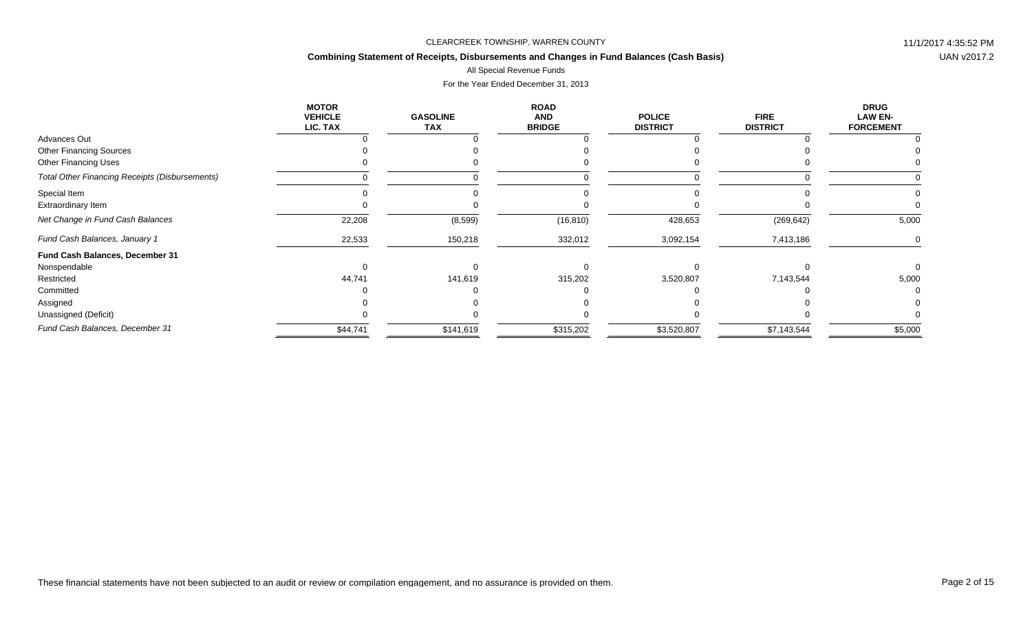# **Combining Statement of Receipts, Disbursements and Changes in Fund Balances (Cash Basis)**

# All Special Revenue Funds

|                                                       | <b>MOTOR</b><br><b>VEHICLE</b><br>LIC. TAX | <b>GASOLINE</b><br><b>TAX</b> | <b>ROAD</b><br><b>AND</b><br><b>BRIDGE</b> | <b>POLICE</b><br><b>DISTRICT</b> | <b>FIRE</b><br><b>DISTRICT</b> | <b>DRUG</b><br><b>LAW EN-</b><br><b>FORCEMENT</b> |
|-------------------------------------------------------|--------------------------------------------|-------------------------------|--------------------------------------------|----------------------------------|--------------------------------|---------------------------------------------------|
| Advances Out                                          |                                            |                               |                                            |                                  |                                |                                                   |
| <b>Other Financing Sources</b>                        |                                            |                               |                                            |                                  |                                |                                                   |
| <b>Other Financing Uses</b>                           |                                            |                               |                                            |                                  |                                |                                                   |
| <b>Total Other Financing Receipts (Disbursements)</b> |                                            |                               |                                            |                                  |                                |                                                   |
| Special Item                                          |                                            |                               |                                            |                                  |                                |                                                   |
| <b>Extraordinary Item</b>                             |                                            |                               |                                            |                                  |                                |                                                   |
| Net Change in Fund Cash Balances                      | 22,208                                     | (8,599)                       | (16, 810)                                  | 428,653                          | (269, 642)                     | 5,000                                             |
| Fund Cash Balances, January 1                         | 22,533                                     | 150,218                       | 332,012                                    | 3,092,154                        | 7,413,186                      | 0                                                 |
| Fund Cash Balances, December 31                       |                                            |                               |                                            |                                  |                                |                                                   |
| Nonspendable                                          |                                            |                               |                                            |                                  |                                |                                                   |
| Restricted                                            | 44,741                                     | 141,619                       | 315,202                                    | 3,520,807                        | 7,143,544                      | 5,000                                             |
| Committed                                             |                                            |                               |                                            |                                  |                                |                                                   |
| Assigned                                              |                                            |                               |                                            |                                  |                                |                                                   |
| Unassigned (Deficit)                                  |                                            |                               |                                            |                                  |                                |                                                   |
| Fund Cash Balances, December 31                       | \$44,741                                   | \$141,619                     | \$315,202                                  | \$3,520,807                      | \$7,143,544                    | \$5,000                                           |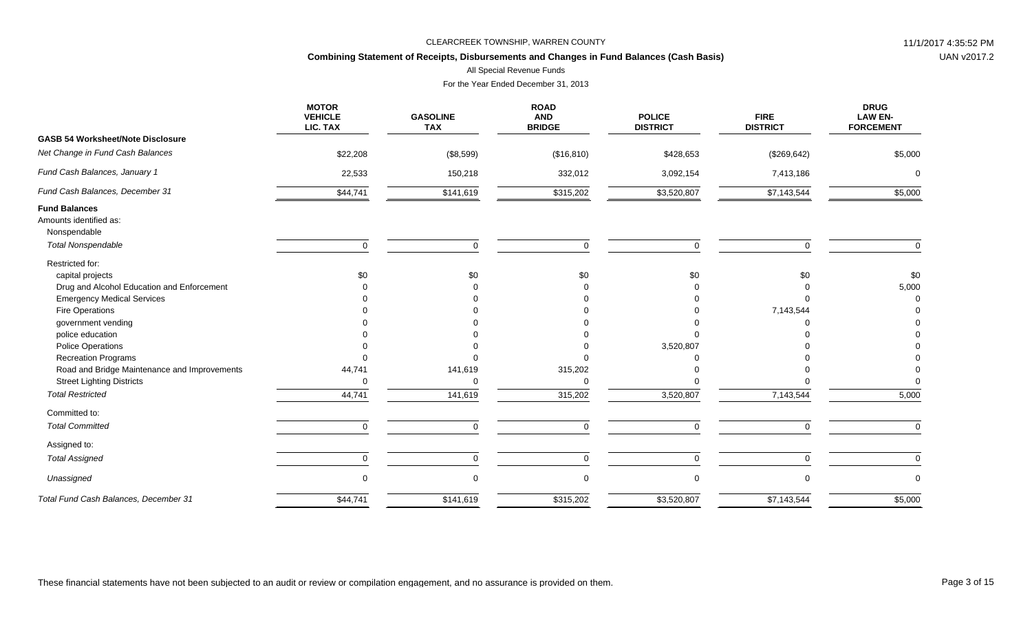# **Combining Statement of Receipts, Disbursements and Changes in Fund Balances (Cash Basis)**

All Special Revenue Funds

|                                                                | <b>MOTOR</b><br><b>VEHICLE</b><br>LIC. TAX | <b>GASOLINE</b><br><b>TAX</b> | <b>ROAD</b><br><b>AND</b><br><b>BRIDGE</b> | <b>POLICE</b><br><b>DISTRICT</b> | <b>FIRE</b><br><b>DISTRICT</b> | <b>DRUG</b><br><b>LAW EN-</b><br><b>FORCEMENT</b> |
|----------------------------------------------------------------|--------------------------------------------|-------------------------------|--------------------------------------------|----------------------------------|--------------------------------|---------------------------------------------------|
| <b>GASB 54 Worksheet/Note Disclosure</b>                       |                                            |                               |                                            |                                  |                                |                                                   |
| Net Change in Fund Cash Balances                               | \$22,208                                   | (\$8,599)                     | (\$16,810)                                 | \$428,653                        | (\$269, 642)                   | \$5,000                                           |
| Fund Cash Balances, January 1                                  | 22,533                                     | 150,218                       | 332,012                                    | 3,092,154                        | 7,413,186                      | $\Omega$                                          |
| Fund Cash Balances, December 31                                | \$44,741                                   | \$141,619                     | \$315,202                                  | \$3,520,807                      | \$7,143,544                    | \$5,000                                           |
| <b>Fund Balances</b><br>Amounts identified as:<br>Nonspendable |                                            |                               |                                            |                                  |                                |                                                   |
| <b>Total Nonspendable</b>                                      | $\mathbf 0$                                | $\Omega$                      | $\mathbf 0$                                | $\mathbf 0$                      | $\Omega$                       | $\Omega$                                          |
| Restricted for:                                                |                                            |                               |                                            |                                  |                                |                                                   |
| capital projects                                               | \$0                                        | \$0                           | \$0                                        | \$0                              | \$0                            | \$0                                               |
| Drug and Alcohol Education and Enforcement                     |                                            |                               |                                            |                                  |                                | 5,000                                             |
| <b>Emergency Medical Services</b>                              |                                            |                               |                                            |                                  |                                |                                                   |
| Fire Operations                                                |                                            |                               |                                            |                                  | 7,143,544                      |                                                   |
| government vending                                             |                                            |                               |                                            |                                  |                                |                                                   |
| police education                                               |                                            |                               |                                            |                                  |                                |                                                   |
| <b>Police Operations</b>                                       |                                            |                               |                                            | 3,520,807                        |                                |                                                   |
| <b>Recreation Programs</b>                                     |                                            |                               |                                            |                                  |                                |                                                   |
| Road and Bridge Maintenance and Improvements                   | 44,741                                     | 141,619                       | 315,202                                    |                                  |                                |                                                   |
| <b>Street Lighting Districts</b>                               | O                                          |                               | $\Omega$                                   |                                  |                                |                                                   |
| <b>Total Restricted</b>                                        | 44,741                                     | 141,619                       | 315,202                                    | 3,520,807                        | 7,143,544                      | 5,000                                             |
| Committed to:                                                  |                                            |                               |                                            |                                  |                                |                                                   |
| <b>Total Committed</b>                                         | $\mathbf 0$                                | $\mathbf 0$                   | 0                                          | 0                                | $\Omega$                       | $\Omega$                                          |
| Assigned to:                                                   |                                            |                               |                                            |                                  |                                |                                                   |
| <b>Total Assigned</b>                                          | 0                                          | 0                             | $\mathbf 0$                                | $\mathbf 0$                      | $\Omega$                       | $\mathbf 0$                                       |
| Unassigned                                                     | $\mathbf 0$                                | $\Omega$                      | $\mathbf 0$                                | 0                                | $\Omega$                       | $\Omega$                                          |
| Total Fund Cash Balances, December 31                          | \$44,741                                   | \$141,619                     | \$315,202                                  | \$3,520,807                      | \$7,143,544                    | \$5,000                                           |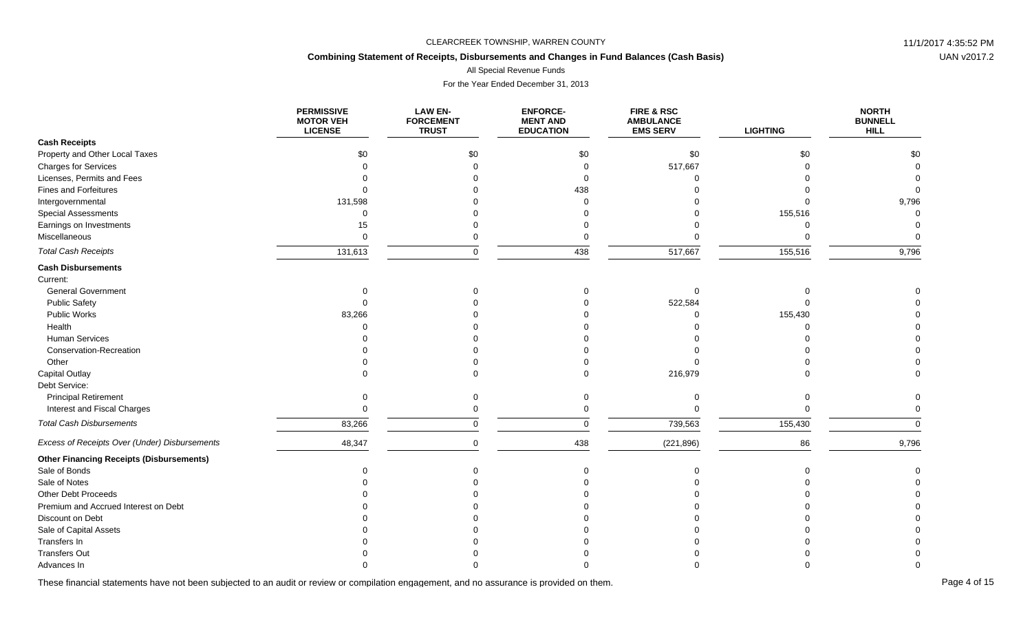# **Combining Statement of Receipts, Disbursements and Changes in Fund Balances (Cash Basis)**

All Special Revenue Funds

For the Year Ended December 31, 2013

|                                                 | <b>PERMISSIVE</b><br><b>MOTOR VEH</b><br><b>LICENSE</b> | <b>LAW EN-</b><br><b>FORCEMENT</b><br><b>TRUST</b> | <b>ENFORCE-</b><br><b>MENT AND</b><br><b>EDUCATION</b> | <b>FIRE &amp; RSC</b><br><b>AMBULANCE</b><br><b>EMS SERV</b> | <b>LIGHTING</b> | <b>NORTH</b><br><b>BUNNELL</b><br><b>HILL</b> |
|-------------------------------------------------|---------------------------------------------------------|----------------------------------------------------|--------------------------------------------------------|--------------------------------------------------------------|-----------------|-----------------------------------------------|
| <b>Cash Receipts</b>                            |                                                         |                                                    |                                                        |                                                              |                 |                                               |
| Property and Other Local Taxes                  | \$0                                                     | \$0                                                | \$0                                                    | \$0                                                          | \$0             | \$0                                           |
| <b>Charges for Services</b>                     |                                                         |                                                    | $\Omega$                                               | 517,667                                                      | $\Omega$        |                                               |
| Licenses, Permits and Fees                      |                                                         |                                                    | 0                                                      | $\Omega$                                                     |                 |                                               |
| <b>Fines and Forfeitures</b>                    |                                                         |                                                    | 438                                                    |                                                              |                 |                                               |
| Intergovernmental                               | 131,598                                                 |                                                    | $\Omega$                                               |                                                              |                 | 9,796                                         |
| <b>Special Assessments</b>                      | $\Omega$                                                |                                                    |                                                        |                                                              | 155,516         |                                               |
| Earnings on Investments                         | 15                                                      |                                                    |                                                        |                                                              | $\Omega$        |                                               |
| Miscellaneous                                   | $\Omega$                                                |                                                    | $\Omega$                                               |                                                              | $\Omega$        |                                               |
| <b>Total Cash Receipts</b>                      | 131,613                                                 | $\Omega$                                           | 438                                                    | 517,667                                                      | 155,516         | 9,796                                         |
| <b>Cash Disbursements</b>                       |                                                         |                                                    |                                                        |                                                              |                 |                                               |
| Current:                                        |                                                         |                                                    |                                                        |                                                              |                 |                                               |
| <b>General Government</b>                       |                                                         |                                                    |                                                        | $\Omega$                                                     |                 |                                               |
| <b>Public Safety</b>                            |                                                         |                                                    |                                                        | 522,584                                                      |                 |                                               |
| Public Works                                    | 83,266                                                  |                                                    |                                                        |                                                              | 155,430         |                                               |
| Health                                          |                                                         |                                                    |                                                        |                                                              | $\Omega$        |                                               |
| <b>Human Services</b>                           |                                                         |                                                    |                                                        |                                                              |                 |                                               |
| Conservation-Recreation                         |                                                         |                                                    |                                                        |                                                              |                 |                                               |
| Other                                           |                                                         |                                                    |                                                        |                                                              |                 |                                               |
| <b>Capital Outlay</b>                           |                                                         |                                                    |                                                        | 216,979                                                      |                 |                                               |
| Debt Service:                                   |                                                         |                                                    |                                                        |                                                              |                 |                                               |
| <b>Principal Retirement</b>                     |                                                         |                                                    |                                                        |                                                              |                 |                                               |
| Interest and Fiscal Charges                     | $\Omega$                                                |                                                    | $\Omega$                                               |                                                              | $\Omega$        |                                               |
| <b>Total Cash Disbursements</b>                 | 83,266                                                  | $\Omega$                                           | $\mathbf 0$                                            | 739,563                                                      | 155,430         | $\Omega$                                      |
| Excess of Receipts Over (Under) Disbursements   | 48,347                                                  | $\Omega$                                           | 438                                                    | (221, 896)                                                   | 86              | 9,796                                         |
| <b>Other Financing Receipts (Disbursements)</b> |                                                         |                                                    |                                                        |                                                              |                 |                                               |
| Sale of Bonds                                   |                                                         |                                                    | $\Omega$                                               | $\Omega$                                                     | $\Omega$        |                                               |
| Sale of Notes                                   |                                                         |                                                    |                                                        |                                                              |                 |                                               |
| Other Debt Proceeds                             |                                                         |                                                    |                                                        |                                                              |                 |                                               |
| Premium and Accrued Interest on Debt            |                                                         |                                                    |                                                        |                                                              |                 |                                               |
| Discount on Debt                                |                                                         |                                                    |                                                        |                                                              |                 |                                               |
| Sale of Capital Assets                          |                                                         |                                                    |                                                        |                                                              |                 |                                               |
| Transfers In                                    |                                                         |                                                    |                                                        |                                                              |                 |                                               |
| <b>Transfers Out</b>                            |                                                         |                                                    |                                                        |                                                              |                 |                                               |
| Advances In                                     |                                                         |                                                    |                                                        |                                                              |                 |                                               |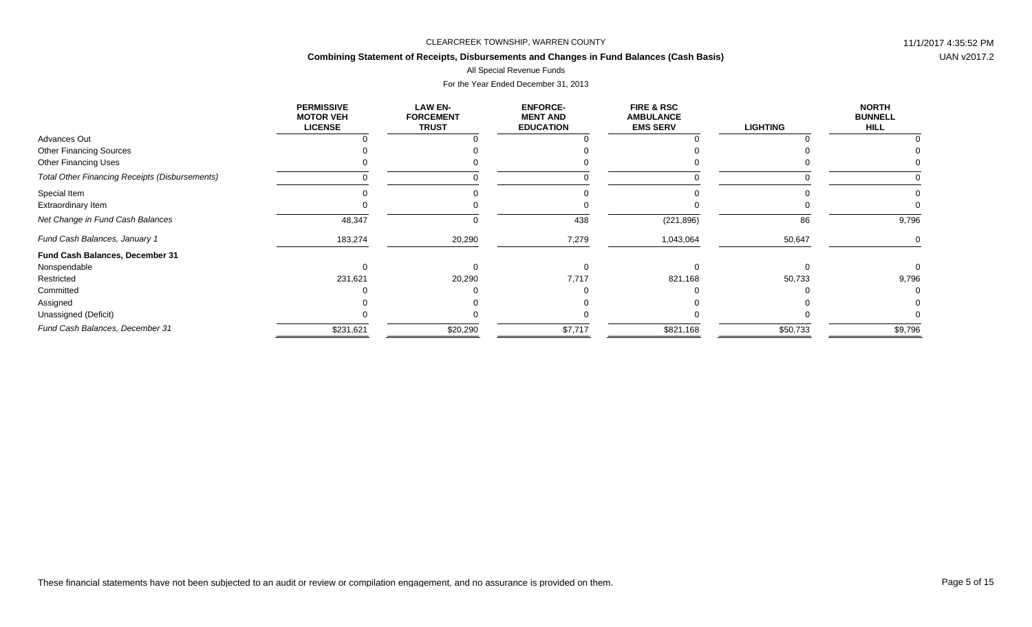# **Combining Statement of Receipts, Disbursements and Changes in Fund Balances (Cash Basis)**

All Special Revenue Funds

|                                                       | <b>PERMISSIVE</b><br><b>MOTOR VEH</b><br><b>LICENSE</b> | <b>LAW EN-</b><br><b>FORCEMENT</b><br><b>TRUST</b> | <b>ENFORCE-</b><br><b>MENT AND</b><br><b>EDUCATION</b> | <b>FIRE &amp; RSC</b><br><b>AMBULANCE</b><br><b>EMS SERV</b> | <b>LIGHTING</b> | <b>NORTH</b><br><b>BUNNELL</b><br><b>HILL</b> |
|-------------------------------------------------------|---------------------------------------------------------|----------------------------------------------------|--------------------------------------------------------|--------------------------------------------------------------|-----------------|-----------------------------------------------|
| Advances Out                                          |                                                         |                                                    |                                                        |                                                              |                 |                                               |
| <b>Other Financing Sources</b>                        |                                                         |                                                    |                                                        |                                                              |                 |                                               |
| <b>Other Financing Uses</b>                           |                                                         |                                                    |                                                        |                                                              |                 |                                               |
| <b>Total Other Financing Receipts (Disbursements)</b> |                                                         |                                                    |                                                        |                                                              |                 |                                               |
| Special Item                                          |                                                         |                                                    |                                                        |                                                              |                 |                                               |
| Extraordinary Item                                    |                                                         |                                                    |                                                        |                                                              |                 |                                               |
| Net Change in Fund Cash Balances                      | 48,347                                                  |                                                    | 438                                                    | (221, 896)                                                   | 86              | 9,796                                         |
| Fund Cash Balances, January 1                         | 183,274                                                 | 20,290                                             | 7,279                                                  | 1,043,064                                                    | 50,647          |                                               |
| Fund Cash Balances, December 31                       |                                                         |                                                    |                                                        |                                                              |                 |                                               |
| Nonspendable                                          |                                                         |                                                    |                                                        |                                                              |                 |                                               |
| Restricted                                            | 231,621                                                 | 20,290                                             | 7,717                                                  | 821,168                                                      | 50,733          | 9,796                                         |
| Committed                                             |                                                         |                                                    |                                                        |                                                              |                 |                                               |
| Assigned                                              |                                                         |                                                    |                                                        |                                                              |                 |                                               |
| Unassigned (Deficit)                                  |                                                         |                                                    |                                                        |                                                              |                 |                                               |
| Fund Cash Balances, December 31                       | \$231,621                                               | \$20,290                                           | \$7,717                                                | \$821,168                                                    | \$50,733        | \$9,796                                       |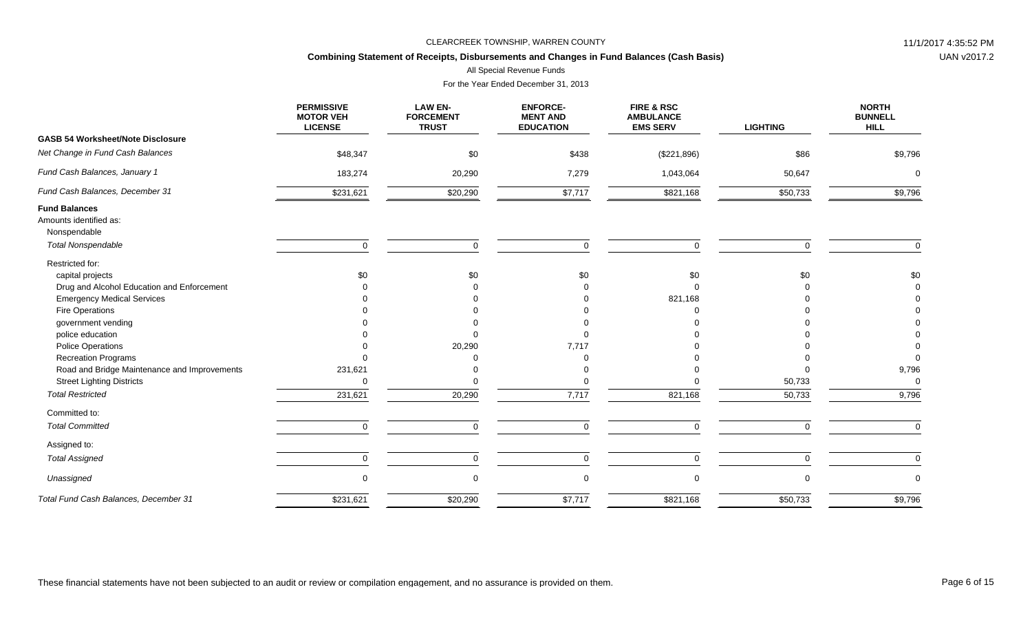# **Combining Statement of Receipts, Disbursements and Changes in Fund Balances (Cash Basis)**

All Special Revenue Funds

|                                                                | <b>PERMISSIVE</b><br><b>MOTOR VEH</b><br><b>LICENSE</b> | <b>LAW EN-</b><br><b>FORCEMENT</b><br><b>TRUST</b> | <b>ENFORCE-</b><br><b>MENT AND</b><br><b>EDUCATION</b> | FIRE & RSC<br><b>AMBULANCE</b><br><b>EMS SERV</b> | <b>LIGHTING</b> | <b>NORTH</b><br><b>BUNNELL</b><br><b>HILL</b> |
|----------------------------------------------------------------|---------------------------------------------------------|----------------------------------------------------|--------------------------------------------------------|---------------------------------------------------|-----------------|-----------------------------------------------|
| <b>GASB 54 Worksheet/Note Disclosure</b>                       |                                                         |                                                    |                                                        |                                                   |                 |                                               |
| Net Change in Fund Cash Balances                               | \$48,347                                                | \$0                                                | \$438                                                  | (\$221,896)                                       | \$86            | \$9,796                                       |
| Fund Cash Balances, January 1                                  | 183,274                                                 | 20,290                                             | 7,279                                                  | 1,043,064                                         | 50,647          | $\Omega$                                      |
| Fund Cash Balances, December 31                                | \$231,621                                               | \$20,290                                           | \$7,717                                                | \$821,168                                         | \$50,733        | \$9,796                                       |
| <b>Fund Balances</b><br>Amounts identified as:<br>Nonspendable |                                                         |                                                    |                                                        |                                                   |                 |                                               |
| <b>Total Nonspendable</b>                                      | $\mathbf 0$                                             | $\Omega$                                           | $\mathbf 0$                                            | $\mathbf 0$                                       | $\Omega$        | $\Omega$                                      |
| Restricted for:                                                |                                                         |                                                    |                                                        |                                                   |                 |                                               |
| capital projects                                               | \$0                                                     | \$0                                                | \$0                                                    | \$0                                               | \$0             | \$0                                           |
| Drug and Alcohol Education and Enforcement                     |                                                         |                                                    |                                                        |                                                   |                 |                                               |
| <b>Emergency Medical Services</b>                              |                                                         |                                                    |                                                        | 821,168                                           |                 |                                               |
| Fire Operations                                                |                                                         |                                                    |                                                        |                                                   |                 |                                               |
| government vending                                             |                                                         |                                                    |                                                        |                                                   |                 |                                               |
| police education                                               |                                                         |                                                    |                                                        |                                                   |                 |                                               |
| <b>Police Operations</b>                                       |                                                         | 20,290                                             | 7,717                                                  |                                                   |                 |                                               |
| <b>Recreation Programs</b>                                     |                                                         |                                                    |                                                        |                                                   |                 |                                               |
| Road and Bridge Maintenance and Improvements                   | 231,621                                                 |                                                    |                                                        |                                                   |                 | 9,796                                         |
| <b>Street Lighting Districts</b>                               | $\Omega$                                                |                                                    |                                                        |                                                   | 50,733          | $\Omega$                                      |
| <b>Total Restricted</b>                                        | 231,621                                                 | 20,290                                             | 7,717                                                  | 821,168                                           | 50,733          | 9,796                                         |
| Committed to:                                                  |                                                         |                                                    |                                                        |                                                   |                 |                                               |
| <b>Total Committed</b>                                         | $\mathbf 0$                                             | $\Omega$                                           | $\mathbf 0$                                            | 0                                                 | $\Omega$        | $\Omega$                                      |
| Assigned to:                                                   |                                                         |                                                    |                                                        |                                                   |                 |                                               |
| <b>Total Assigned</b>                                          | $\mathbf 0$                                             | $\Omega$                                           | $\mathbf 0$                                            | 0                                                 | $\Omega$        | $\mathbf 0$                                   |
| Unassigned                                                     | $\Omega$                                                |                                                    | $\mathbf 0$                                            | $\mathbf 0$                                       | $\Omega$        | $\Omega$                                      |
| Total Fund Cash Balances, December 31                          | \$231,621                                               | \$20,290                                           | \$7,717                                                | \$821,168                                         | \$50,733        | \$9,796                                       |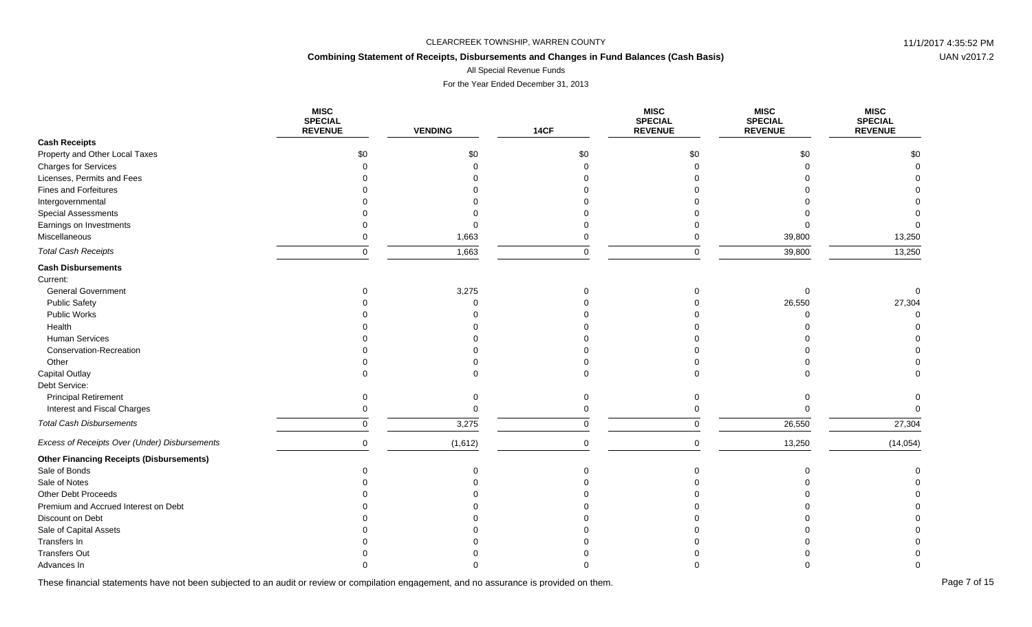# **Combining Statement of Receipts, Disbursements and Changes in Fund Balances (Cash Basis)**

All Special Revenue Funds

For the Year Ended December 31, 2013

|                                                 | <b>MISC</b><br><b>SPECIAL</b><br><b>REVENUE</b> | <b>VENDING</b> | <b>14CF</b> | <b>MISC</b><br><b>SPECIAL</b><br><b>REVENUE</b> | <b>MISC</b><br><b>SPECIAL</b><br><b>REVENUE</b> | <b>MISC</b><br><b>SPECIAL</b><br><b>REVENUE</b> |
|-------------------------------------------------|-------------------------------------------------|----------------|-------------|-------------------------------------------------|-------------------------------------------------|-------------------------------------------------|
| <b>Cash Receipts</b>                            |                                                 |                |             |                                                 |                                                 |                                                 |
| Property and Other Local Taxes                  | \$0                                             | \$0            | \$0         | \$0                                             | \$0                                             | \$0                                             |
| <b>Charges for Services</b>                     |                                                 |                |             | $\Omega$                                        |                                                 |                                                 |
| Licenses, Permits and Fees                      |                                                 |                |             |                                                 |                                                 |                                                 |
| Fines and Forfeitures                           |                                                 |                |             |                                                 |                                                 |                                                 |
| Intergovernmental                               |                                                 |                |             |                                                 |                                                 |                                                 |
| <b>Special Assessments</b>                      |                                                 |                |             |                                                 |                                                 |                                                 |
| Earnings on Investments                         |                                                 |                |             |                                                 |                                                 |                                                 |
| Miscellaneous                                   |                                                 | 1,663          |             |                                                 | 39,800                                          | 13,250                                          |
| <b>Total Cash Receipts</b>                      | $\Omega$                                        | 1,663          | $\Omega$    | $\Omega$                                        | 39,800                                          | 13,250                                          |
| <b>Cash Disbursements</b>                       |                                                 |                |             |                                                 |                                                 |                                                 |
| Current:                                        |                                                 |                |             |                                                 |                                                 |                                                 |
| <b>General Government</b>                       | $\Omega$                                        | 3,275          |             |                                                 | $\Omega$                                        |                                                 |
| <b>Public Safety</b>                            |                                                 |                |             |                                                 | 26,550                                          | 27,304                                          |
| Public Works                                    |                                                 |                |             |                                                 |                                                 |                                                 |
| Health                                          |                                                 |                |             |                                                 |                                                 |                                                 |
| <b>Human Services</b>                           |                                                 |                |             |                                                 |                                                 |                                                 |
| Conservation-Recreation                         |                                                 |                |             |                                                 |                                                 |                                                 |
| Other                                           |                                                 |                |             |                                                 |                                                 |                                                 |
| <b>Capital Outlay</b>                           |                                                 |                |             |                                                 |                                                 |                                                 |
| Debt Service:                                   |                                                 |                |             |                                                 |                                                 |                                                 |
| <b>Principal Retirement</b>                     | $\Omega$                                        |                |             | $\Omega$                                        |                                                 |                                                 |
| Interest and Fiscal Charges                     |                                                 |                |             | ∩                                               |                                                 |                                                 |
| <b>Total Cash Disbursements</b>                 | $\mathbf 0$                                     | 3,275          | 0           | 0                                               | 26,550                                          | 27,304                                          |
| Excess of Receipts Over (Under) Disbursements   | $\mathbf 0$                                     | (1,612)        | $\mathbf 0$ | $\mathbf 0$                                     | 13,250                                          | (14, 054)                                       |
| <b>Other Financing Receipts (Disbursements)</b> |                                                 |                |             |                                                 |                                                 |                                                 |
| Sale of Bonds                                   |                                                 |                |             |                                                 |                                                 |                                                 |
| Sale of Notes                                   |                                                 |                |             |                                                 |                                                 |                                                 |
| Other Debt Proceeds                             |                                                 |                |             |                                                 |                                                 |                                                 |
| Premium and Accrued Interest on Debt            |                                                 |                |             |                                                 |                                                 |                                                 |
| Discount on Debt                                |                                                 |                |             |                                                 |                                                 |                                                 |
| Sale of Capital Assets                          |                                                 |                |             |                                                 |                                                 |                                                 |
| Transfers In                                    |                                                 |                |             |                                                 |                                                 |                                                 |
| <b>Transfers Out</b>                            |                                                 |                |             |                                                 |                                                 |                                                 |
| Advances In                                     |                                                 |                |             |                                                 |                                                 |                                                 |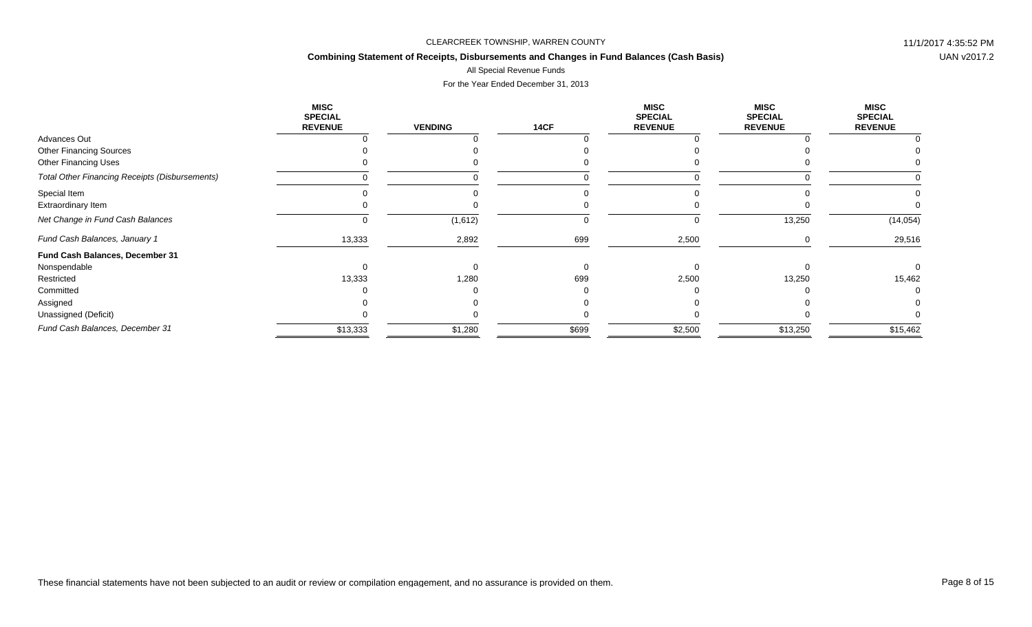# **Combining Statement of Receipts, Disbursements and Changes in Fund Balances (Cash Basis)**

# All Special Revenue Funds

|                                                       | MISC<br><b>SPECIAL</b><br><b>REVENUE</b> | <b>VENDING</b> | <b>14CF</b> | <b>MISC</b><br><b>SPECIAL</b><br><b>REVENUE</b> | MISC<br><b>SPECIAL</b><br><b>REVENUE</b> | <b>MISC</b><br><b>SPECIAL</b><br><b>REVENUE</b> |
|-------------------------------------------------------|------------------------------------------|----------------|-------------|-------------------------------------------------|------------------------------------------|-------------------------------------------------|
| <b>Advances Out</b>                                   |                                          |                |             |                                                 |                                          |                                                 |
| <b>Other Financing Sources</b>                        |                                          |                |             |                                                 |                                          |                                                 |
| <b>Other Financing Uses</b>                           |                                          |                |             |                                                 |                                          |                                                 |
| <b>Total Other Financing Receipts (Disbursements)</b> |                                          |                |             |                                                 |                                          |                                                 |
| Special Item                                          |                                          |                |             |                                                 |                                          |                                                 |
| Extraordinary Item                                    |                                          |                |             |                                                 |                                          |                                                 |
| Net Change in Fund Cash Balances                      |                                          | (1,612)        |             |                                                 | 13,250                                   | (14, 054)                                       |
| Fund Cash Balances, January 1                         | 13,333                                   | 2,892          | 699         | 2,500                                           |                                          | 29,516                                          |
| Fund Cash Balances, December 31                       |                                          |                |             |                                                 |                                          |                                                 |
| Nonspendable                                          |                                          |                |             |                                                 |                                          |                                                 |
| Restricted                                            | 13,333                                   | 1,280          | 699         | 2,500                                           | 13,250                                   | 15,462                                          |
| Committed                                             |                                          |                |             |                                                 |                                          |                                                 |
| Assigned                                              |                                          |                |             |                                                 |                                          |                                                 |
| Unassigned (Deficit)                                  |                                          |                |             |                                                 |                                          |                                                 |
| Fund Cash Balances, December 31                       | \$13,333                                 | \$1,280        | \$699       | \$2,500                                         | \$13,250                                 | \$15,462                                        |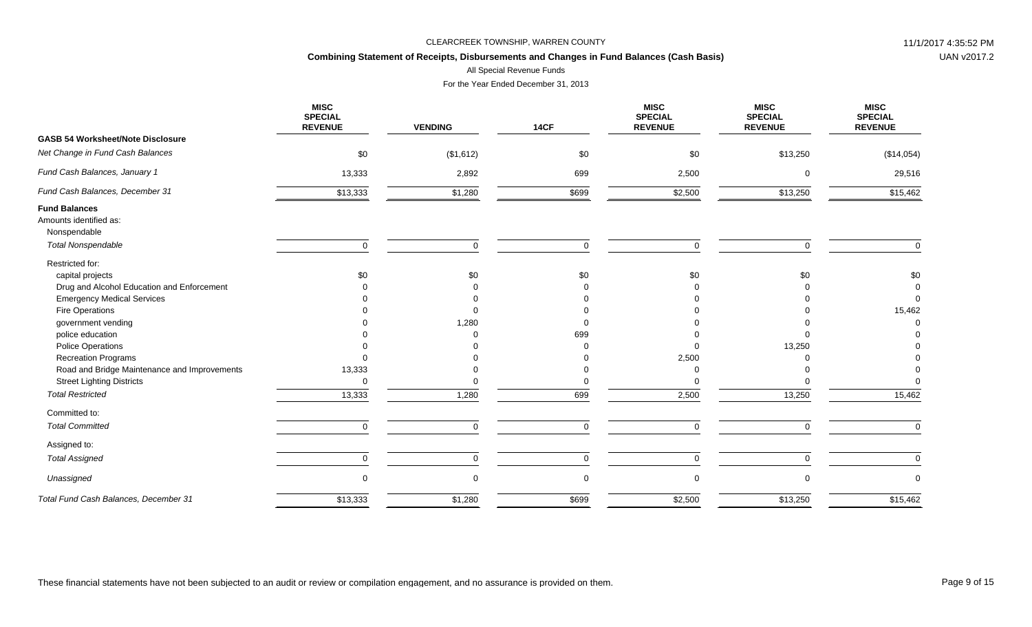# **Combining Statement of Receipts, Disbursements and Changes in Fund Balances (Cash Basis)**

All Special Revenue Funds

|                                                                | <b>MISC</b><br><b>SPECIAL</b><br><b>REVENUE</b> | <b>VENDING</b> | 14CF        | <b>MISC</b><br><b>SPECIAL</b><br><b>REVENUE</b> | <b>MISC</b><br><b>SPECIAL</b><br><b>REVENUE</b> | <b>MISC</b><br><b>SPECIAL</b><br><b>REVENUE</b> |
|----------------------------------------------------------------|-------------------------------------------------|----------------|-------------|-------------------------------------------------|-------------------------------------------------|-------------------------------------------------|
| <b>GASB 54 Worksheet/Note Disclosure</b>                       |                                                 |                |             |                                                 |                                                 |                                                 |
| Net Change in Fund Cash Balances                               | \$0                                             | (\$1,612)      | \$0         | \$0                                             | \$13,250                                        | (\$14,054)                                      |
| Fund Cash Balances, January 1                                  | 13,333                                          | 2,892          | 699         | 2,500                                           | $\Omega$                                        | 29,516                                          |
| Fund Cash Balances, December 31                                | \$13,333                                        | \$1,280        | \$699       | \$2,500                                         | \$13,250                                        | \$15,462                                        |
| <b>Fund Balances</b><br>Amounts identified as:<br>Nonspendable |                                                 |                |             |                                                 |                                                 |                                                 |
| <b>Total Nonspendable</b>                                      | $\mathbf 0$                                     | $\Omega$       | $\mathbf 0$ | $\Omega$                                        | $\Omega$                                        | $\Omega$                                        |
| Restricted for:                                                |                                                 |                |             |                                                 |                                                 |                                                 |
| capital projects                                               | \$0                                             | \$0            | \$0         | \$0                                             | \$0                                             | \$0                                             |
| Drug and Alcohol Education and Enforcement                     |                                                 |                |             |                                                 |                                                 | $\Omega$                                        |
| <b>Emergency Medical Services</b>                              |                                                 |                |             |                                                 |                                                 | $\Omega$                                        |
| Fire Operations                                                |                                                 |                |             |                                                 |                                                 | 15,462                                          |
| government vending                                             |                                                 | 1,280          | $\Omega$    |                                                 |                                                 |                                                 |
| police education                                               |                                                 |                | 699         |                                                 |                                                 |                                                 |
| <b>Police Operations</b>                                       |                                                 |                |             |                                                 | 13,250                                          |                                                 |
| <b>Recreation Programs</b>                                     |                                                 |                |             | 2,500                                           |                                                 |                                                 |
| Road and Bridge Maintenance and Improvements                   | 13,333                                          |                |             |                                                 |                                                 |                                                 |
| <b>Street Lighting Districts</b>                               | $\Omega$                                        |                | $\Omega$    |                                                 |                                                 |                                                 |
| <b>Total Restricted</b>                                        | 13,333                                          | 1,280          | 699         | 2,500                                           | 13,250                                          | 15,462                                          |
| Committed to:                                                  |                                                 |                |             |                                                 |                                                 |                                                 |
| <b>Total Committed</b>                                         | $\mathbf 0$                                     | $\Omega$       | $\mathbf 0$ | $\Omega$                                        | $\mathbf 0$                                     | $\mathbf 0$                                     |
| Assigned to:                                                   |                                                 |                |             |                                                 |                                                 |                                                 |
| <b>Total Assigned</b>                                          | $\mathbf 0$                                     | $\Omega$       | $\mathbf 0$ | $\Omega$                                        | $\Omega$                                        | $\Omega$                                        |
| Unassigned                                                     | $\mathbf 0$                                     | $\Omega$       | $\mathbf 0$ | 0                                               | $\Omega$                                        | $\Omega$                                        |
| Total Fund Cash Balances, December 31                          | \$13,333                                        | \$1,280        | \$699       | \$2,500                                         | \$13,250                                        | \$15,462                                        |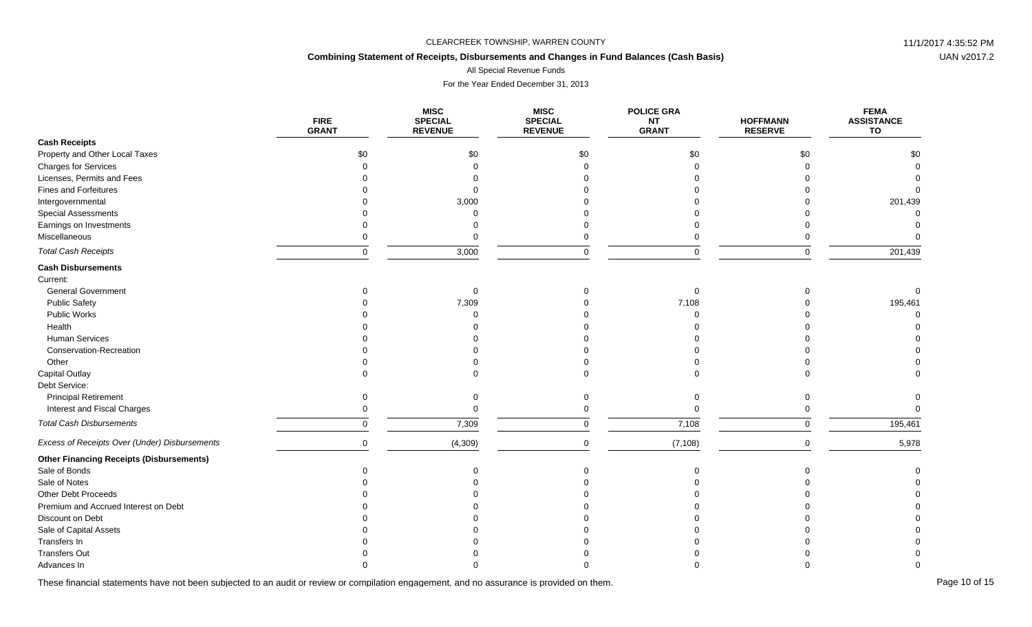# **Combining Statement of Receipts, Disbursements and Changes in Fund Balances (Cash Basis)**

All Special Revenue Funds

For the Year Ended December 31, 2013

|                                                 | <b>FIRE</b><br><b>GRANT</b> | <b>MISC</b><br><b>SPECIAL</b><br><b>REVENUE</b> | <b>MISC</b><br><b>SPECIAL</b><br><b>REVENUE</b> | <b>POLICE GRA</b><br><b>NT</b><br><b>GRANT</b> | <b>HOFFMANN</b><br><b>RESERVE</b> | <b>FEMA</b><br><b>ASSISTANCE</b><br>TO |
|-------------------------------------------------|-----------------------------|-------------------------------------------------|-------------------------------------------------|------------------------------------------------|-----------------------------------|----------------------------------------|
| <b>Cash Receipts</b>                            |                             |                                                 |                                                 |                                                |                                   |                                        |
| Property and Other Local Taxes                  | \$0                         | \$0                                             | \$0                                             | \$0                                            | \$0                               | \$0                                    |
| <b>Charges for Services</b>                     |                             |                                                 |                                                 |                                                |                                   |                                        |
| Licenses, Permits and Fees                      |                             |                                                 |                                                 |                                                |                                   |                                        |
| Fines and Forfeitures                           |                             |                                                 |                                                 |                                                |                                   |                                        |
| Intergovernmental                               |                             | 3,000                                           |                                                 |                                                |                                   | 201,439                                |
| <b>Special Assessments</b>                      |                             |                                                 |                                                 |                                                |                                   |                                        |
| Earnings on Investments                         |                             |                                                 |                                                 |                                                |                                   |                                        |
| Miscellaneous                                   |                             |                                                 |                                                 |                                                |                                   |                                        |
| <b>Total Cash Receipts</b>                      | $\Omega$                    | 3,000                                           |                                                 |                                                | $\Omega$                          | 201,439                                |
| <b>Cash Disbursements</b>                       |                             |                                                 |                                                 |                                                |                                   |                                        |
| Current:                                        |                             |                                                 |                                                 |                                                |                                   |                                        |
| <b>General Government</b>                       |                             |                                                 |                                                 | $\Omega$                                       |                                   |                                        |
| <b>Public Safety</b>                            |                             | 7,309                                           |                                                 | 7,108                                          |                                   | 195,461                                |
| Public Works                                    |                             |                                                 |                                                 |                                                |                                   |                                        |
| Health                                          |                             |                                                 |                                                 |                                                |                                   |                                        |
| <b>Human Services</b>                           |                             |                                                 |                                                 |                                                |                                   |                                        |
| Conservation-Recreation                         |                             |                                                 |                                                 |                                                |                                   |                                        |
| Other                                           |                             |                                                 |                                                 |                                                |                                   |                                        |
| <b>Capital Outlay</b>                           |                             |                                                 |                                                 |                                                |                                   |                                        |
| Debt Service:                                   |                             |                                                 |                                                 |                                                |                                   |                                        |
| <b>Principal Retirement</b>                     |                             |                                                 |                                                 |                                                |                                   |                                        |
| Interest and Fiscal Charges                     |                             |                                                 |                                                 |                                                |                                   |                                        |
| <b>Total Cash Disbursements</b>                 | $\Omega$                    | 7,309                                           | $\Omega$                                        | 7,108                                          | $\Omega$                          | 195,461                                |
| Excess of Receipts Over (Under) Disbursements   | $\Omega$                    | (4, 309)                                        | $\Omega$                                        | (7, 108)                                       | $\Omega$                          | 5,978                                  |
| <b>Other Financing Receipts (Disbursements)</b> |                             |                                                 |                                                 |                                                |                                   |                                        |
| Sale of Bonds                                   |                             |                                                 |                                                 |                                                |                                   |                                        |
| Sale of Notes                                   |                             |                                                 |                                                 |                                                |                                   |                                        |
| Other Debt Proceeds                             |                             |                                                 |                                                 |                                                |                                   |                                        |
| Premium and Accrued Interest on Debt            |                             |                                                 |                                                 |                                                |                                   |                                        |
| Discount on Debt                                |                             |                                                 |                                                 |                                                |                                   |                                        |
| Sale of Capital Assets                          |                             |                                                 |                                                 |                                                |                                   |                                        |
| Transfers In                                    |                             |                                                 |                                                 |                                                |                                   |                                        |
| <b>Transfers Out</b>                            |                             |                                                 |                                                 |                                                |                                   |                                        |
| Advances In                                     |                             |                                                 |                                                 |                                                |                                   |                                        |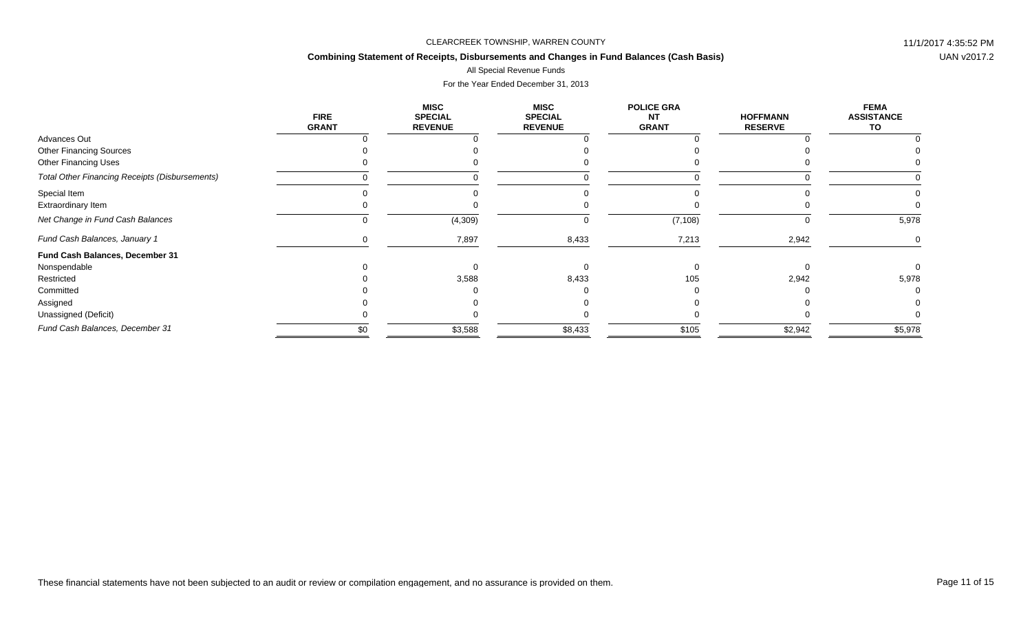# **Combining Statement of Receipts, Disbursements and Changes in Fund Balances (Cash Basis)**

### All Special Revenue Funds

|                                                       | <b>FIRE</b><br><b>GRANT</b> | <b>MISC</b><br><b>SPECIAL</b><br><b>REVENUE</b> | <b>MISC</b><br><b>SPECIAL</b><br><b>REVENUE</b> | <b>POLICE GRA</b><br><b>NT</b><br><b>GRANT</b> | <b>HOFFMANN</b><br><b>RESERVE</b> | <b>FEMA</b><br><b>ASSISTANCE</b><br>TO |
|-------------------------------------------------------|-----------------------------|-------------------------------------------------|-------------------------------------------------|------------------------------------------------|-----------------------------------|----------------------------------------|
| Advances Out                                          |                             |                                                 |                                                 |                                                |                                   |                                        |
| <b>Other Financing Sources</b>                        |                             |                                                 |                                                 |                                                |                                   |                                        |
| <b>Other Financing Uses</b>                           |                             |                                                 |                                                 |                                                |                                   |                                        |
| <b>Total Other Financing Receipts (Disbursements)</b> |                             |                                                 |                                                 |                                                |                                   |                                        |
| Special Item                                          |                             |                                                 |                                                 |                                                |                                   |                                        |
| Extraordinary Item                                    |                             |                                                 |                                                 |                                                |                                   |                                        |
| Net Change in Fund Cash Balances                      |                             | (4,309)                                         | 0                                               | (7, 108)                                       |                                   | 5,978                                  |
| Fund Cash Balances, January 1                         |                             | 7,897                                           | 8,433                                           | 7,213                                          | 2,942                             |                                        |
| Fund Cash Balances, December 31                       |                             |                                                 |                                                 |                                                |                                   |                                        |
| Nonspendable                                          |                             |                                                 |                                                 |                                                |                                   |                                        |
| Restricted                                            |                             | 3,588                                           | 8,433                                           | 105                                            | 2,942                             | 5,978                                  |
| Committed                                             |                             |                                                 |                                                 |                                                |                                   |                                        |
| Assigned                                              |                             |                                                 |                                                 |                                                |                                   |                                        |
| Unassigned (Deficit)                                  |                             |                                                 |                                                 |                                                |                                   |                                        |
| Fund Cash Balances, December 31                       | \$0                         | \$3,588                                         | \$8,433                                         | \$105                                          | \$2,942                           | \$5,978                                |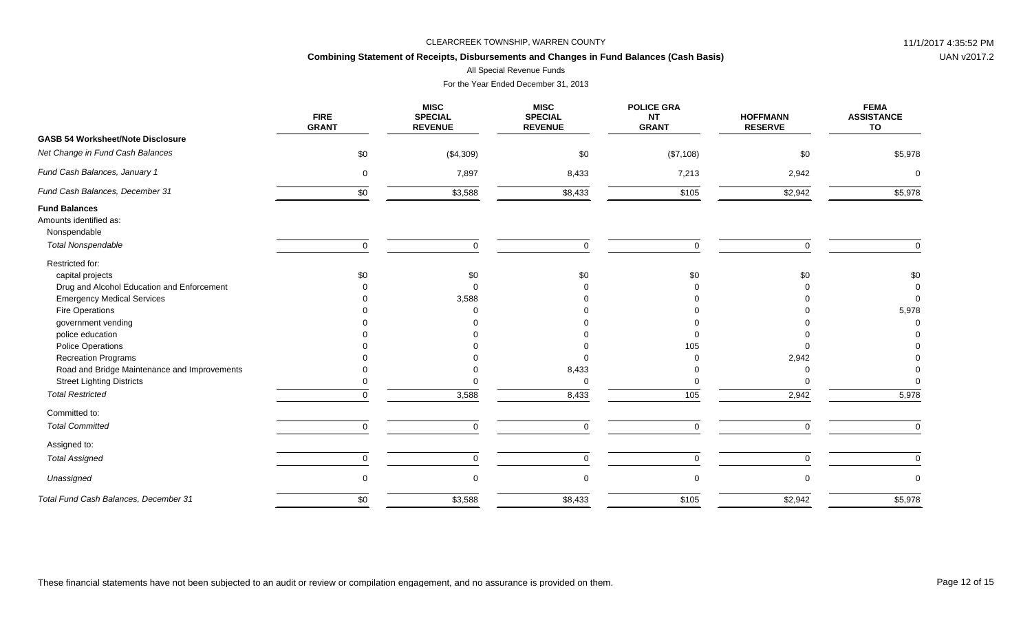# **Combining Statement of Receipts, Disbursements and Changes in Fund Balances (Cash Basis)**

All Special Revenue Funds

|                                                                | <b>FIRE</b><br><b>GRANT</b> | <b>MISC</b><br><b>SPECIAL</b><br><b>REVENUE</b> | <b>MISC</b><br><b>SPECIAL</b><br><b>REVENUE</b> | <b>POLICE GRA</b><br><b>NT</b><br><b>GRANT</b> | <b>HOFFMANN</b><br><b>RESERVE</b> | <b>FEMA</b><br><b>ASSISTANCE</b><br>TO |
|----------------------------------------------------------------|-----------------------------|-------------------------------------------------|-------------------------------------------------|------------------------------------------------|-----------------------------------|----------------------------------------|
| <b>GASB 54 Worksheet/Note Disclosure</b>                       |                             |                                                 |                                                 |                                                |                                   |                                        |
| Net Change in Fund Cash Balances                               | \$0                         | (\$4,309)                                       | \$0                                             | (\$7,108)                                      | \$0                               | \$5,978                                |
| Fund Cash Balances, January 1                                  | $\mathbf 0$                 | 7,897                                           | 8,433                                           | 7,213                                          | 2,942                             | $\Omega$                               |
| Fund Cash Balances, December 31                                | \$0                         | \$3,588                                         | \$8,433                                         | \$105                                          | \$2,942                           | \$5,978                                |
| <b>Fund Balances</b><br>Amounts identified as:<br>Nonspendable |                             |                                                 |                                                 |                                                |                                   |                                        |
| <b>Total Nonspendable</b>                                      | $\mathbf 0$                 | $\Omega$                                        | $\mathbf 0$                                     | $\Omega$                                       | $\Omega$                          | $\Omega$                               |
| Restricted for:                                                |                             |                                                 |                                                 |                                                |                                   |                                        |
| capital projects                                               | \$0                         | \$0                                             | \$0                                             | \$0                                            | \$0                               | \$0                                    |
| Drug and Alcohol Education and Enforcement                     |                             |                                                 |                                                 |                                                |                                   | $\Omega$                               |
| <b>Emergency Medical Services</b>                              |                             | 3,588                                           |                                                 |                                                |                                   | $\Omega$                               |
| Fire Operations                                                |                             |                                                 |                                                 |                                                |                                   | 5,978                                  |
| government vending                                             |                             |                                                 |                                                 |                                                |                                   |                                        |
| police education                                               |                             |                                                 |                                                 |                                                |                                   |                                        |
| <b>Police Operations</b>                                       |                             |                                                 |                                                 | 105                                            |                                   |                                        |
| <b>Recreation Programs</b>                                     |                             |                                                 | $\Omega$                                        |                                                | 2,942                             |                                        |
| Road and Bridge Maintenance and Improvements                   |                             |                                                 | 8,433                                           |                                                |                                   |                                        |
| <b>Street Lighting Districts</b>                               |                             |                                                 | $\mathbf 0$                                     |                                                |                                   |                                        |
| <b>Total Restricted</b>                                        | $\Omega$                    | 3,588                                           | 8,433                                           | 105                                            | 2,942                             | 5,978                                  |
| Committed to:                                                  |                             |                                                 |                                                 |                                                |                                   |                                        |
| <b>Total Committed</b>                                         | $\mathbf 0$                 | $\Omega$                                        | $\mathbf 0$                                     | $\mathbf 0$                                    | $\Omega$                          | $\mathbf 0$                            |
| Assigned to:                                                   |                             |                                                 |                                                 |                                                |                                   |                                        |
| <b>Total Assigned</b>                                          | 0                           | $\Omega$                                        | $\mathsf 0$                                     | 0                                              | $\Omega$                          | $\mathbf 0$                            |
| Unassigned                                                     | $\mathbf 0$                 | $\Omega$                                        | $\mathbf 0$                                     | 0                                              |                                   | $\Omega$                               |
| Total Fund Cash Balances, December 31                          | \$0                         | \$3,588                                         | \$8,433                                         | \$105                                          | \$2,942                           | \$5,978                                |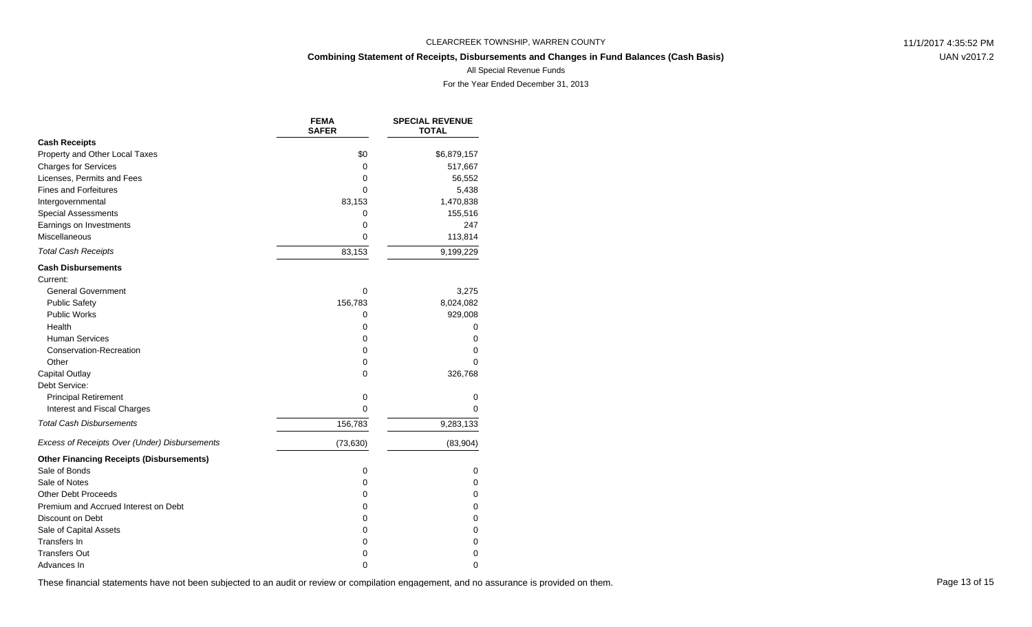# **Combining Statement of Receipts, Disbursements and Changes in Fund Balances (Cash Basis)**

UAN v2017.2

All Special Revenue Funds

For the Year Ended December 31, 2013

|                                                 | <b>FEMA</b><br><b>SAFER</b> | <b>SPECIAL REVENUE</b><br><b>TOTAL</b> |
|-------------------------------------------------|-----------------------------|----------------------------------------|
| <b>Cash Receipts</b>                            |                             |                                        |
| Property and Other Local Taxes                  | \$0                         | \$6,879,157                            |
| <b>Charges for Services</b>                     | 0                           | 517,667                                |
| Licenses, Permits and Fees                      | 0                           | 56,552                                 |
| <b>Fines and Forfeitures</b>                    | 0                           | 5,438                                  |
| Intergovernmental                               | 83,153                      | 1,470,838                              |
| <b>Special Assessments</b>                      | 0                           | 155,516                                |
| Earnings on Investments                         | 0                           | 247                                    |
| Miscellaneous                                   | 0                           | 113,814                                |
| <b>Total Cash Receipts</b>                      | 83,153                      | 9,199,229                              |
| <b>Cash Disbursements</b>                       |                             |                                        |
| Current:                                        |                             |                                        |
| <b>General Government</b>                       | $\Omega$                    | 3,275                                  |
| <b>Public Safety</b>                            | 156,783                     | 8,024,082                              |
| <b>Public Works</b>                             | 0                           | 929,008                                |
| Health                                          | 0                           | 0                                      |
| <b>Human Services</b>                           | 0                           | 0                                      |
| Conservation-Recreation                         | 0                           | 0                                      |
| Other                                           | 0                           | 0                                      |
| Capital Outlay                                  | 0                           | 326,768                                |
| Debt Service:                                   |                             |                                        |
| <b>Principal Retirement</b>                     | 0                           | 0                                      |
| Interest and Fiscal Charges                     | 0                           | 0                                      |
| <b>Total Cash Disbursements</b>                 | 156,783                     | 9,283,133                              |
| Excess of Receipts Over (Under) Disbursements   | (73, 630)                   | (83,904)                               |
| <b>Other Financing Receipts (Disbursements)</b> |                             |                                        |
| Sale of Bonds                                   | $\mathbf 0$                 | 0                                      |
| Sale of Notes                                   | 0                           | 0                                      |
| <b>Other Debt Proceeds</b>                      | 0                           | 0                                      |
| Premium and Accrued Interest on Debt            | 0                           | 0                                      |
| Discount on Debt                                | 0                           | 0                                      |
| Sale of Capital Assets                          | 0                           | 0                                      |
| <b>Transfers In</b>                             | 0                           | 0                                      |
| <b>Transfers Out</b>                            | 0                           | 0                                      |
| Advances In                                     | 0                           | 0                                      |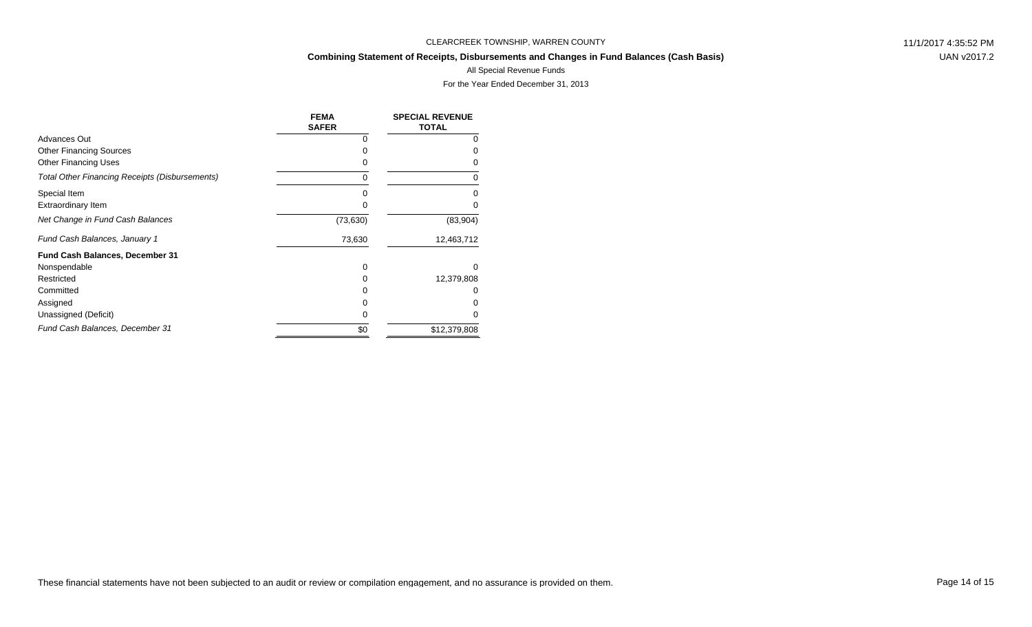# **Combining Statement of Receipts, Disbursements and Changes in Fund Balances (Cash Basis)**

UAN v2017.2

#### All Special Revenue Funds

|                                                       | <b>FEMA</b><br><b>SAFER</b> | <b>SPECIAL REVENUE</b><br><b>TOTAL</b> |
|-------------------------------------------------------|-----------------------------|----------------------------------------|
| Advances Out                                          | O                           | 0                                      |
| <b>Other Financing Sources</b>                        | O                           |                                        |
| <b>Other Financing Uses</b>                           | 0                           |                                        |
| <b>Total Other Financing Receipts (Disbursements)</b> | 0                           | 0                                      |
| Special Item                                          | 0                           |                                        |
| Extraordinary Item                                    | 0                           |                                        |
| Net Change in Fund Cash Balances                      | (73, 630)                   | (83,904)                               |
| Fund Cash Balances, January 1                         | 73,630                      | 12,463,712                             |
| <b>Fund Cash Balances, December 31</b>                |                             |                                        |
| Nonspendable                                          | 0                           | $\Omega$                               |
| Restricted                                            | 0                           | 12,379,808                             |
| Committed                                             |                             |                                        |
| Assigned                                              |                             |                                        |
| Unassigned (Deficit)                                  | 0                           |                                        |
| Fund Cash Balances, December 31                       | \$0                         | \$12,379,808                           |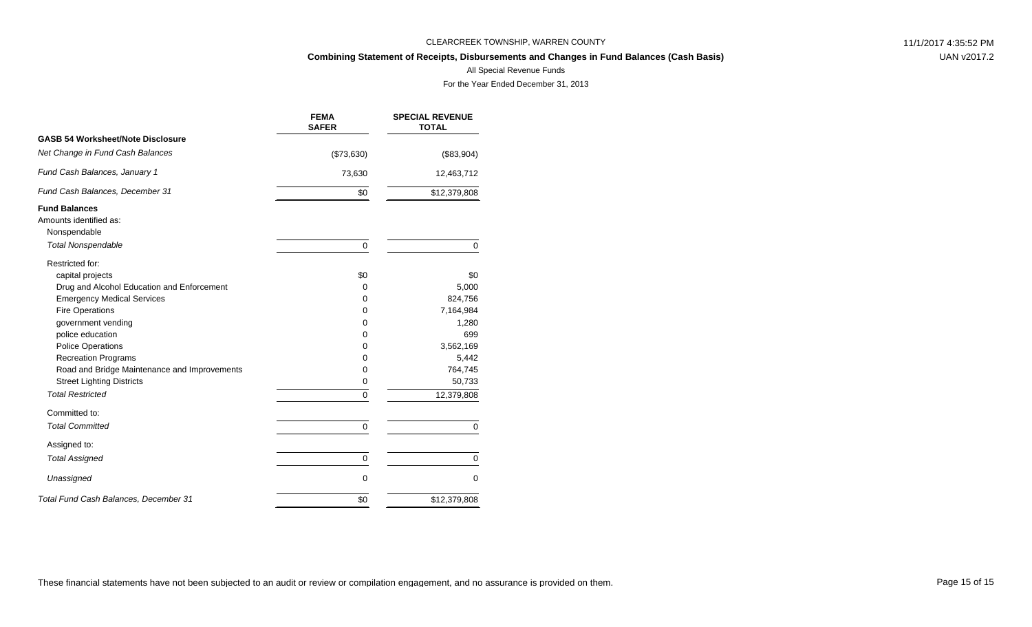# **Combining Statement of Receipts, Disbursements and Changes in Fund Balances (Cash Basis)**

UAN v2017.2

#### All Special Revenue Funds

|                                                                                 | <b>FEMA</b><br><b>SAFER</b> | <b>SPECIAL REVENUE</b><br><b>TOTAL</b> |
|---------------------------------------------------------------------------------|-----------------------------|----------------------------------------|
| <b>GASB 54 Worksheet/Note Disclosure</b>                                        |                             |                                        |
| Net Change in Fund Cash Balances                                                | (\$73,630)                  | (\$83,904)                             |
| Fund Cash Balances, January 1                                                   | 73,630                      | 12,463,712                             |
| Fund Cash Balances, December 31                                                 | \$0                         | \$12,379,808                           |
| <b>Fund Balances</b><br>Amounts identified as:<br>Nonspendable                  |                             |                                        |
| <b>Total Nonspendable</b>                                                       | $\mathbf 0$                 | $\mathbf 0$                            |
| Restricted for:                                                                 |                             |                                        |
| capital projects                                                                | \$0                         | \$0                                    |
| Drug and Alcohol Education and Enforcement<br><b>Emergency Medical Services</b> | 0<br>0                      | 5,000<br>824,756                       |
| <b>Fire Operations</b>                                                          | 0                           | 7,164,984                              |
| government vending                                                              | 0                           | 1,280                                  |
| police education                                                                | 0                           | 699                                    |
| <b>Police Operations</b>                                                        | 0                           | 3,562,169                              |
| <b>Recreation Programs</b>                                                      | 0                           | 5,442                                  |
| Road and Bridge Maintenance and Improvements                                    | 0                           | 764,745                                |
| <b>Street Lighting Districts</b>                                                | 0                           | 50,733                                 |
| <b>Total Restricted</b>                                                         | 0                           | 12,379,808                             |
| Committed to:                                                                   |                             |                                        |
| <b>Total Committed</b>                                                          | $\mathbf 0$                 | $\mathbf 0$                            |
| Assigned to:                                                                    |                             |                                        |
| <b>Total Assigned</b>                                                           | 0                           | 0                                      |
| Unassigned                                                                      | $\mathbf 0$                 | $\mathbf 0$                            |
| Total Fund Cash Balances, December 31                                           | \$0                         | \$12,379,808                           |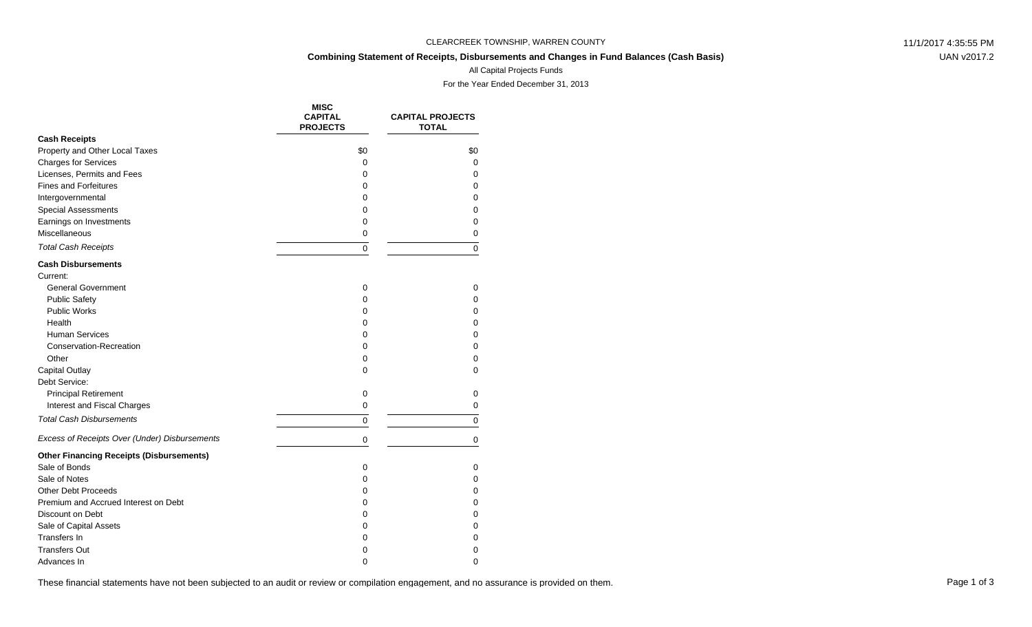# **Combining Statement of Receipts, Disbursements and Changes in Fund Balances (Cash Basis)**

UAN v2017.2

### All Capital Projects Funds

For the Year Ended December 31, 2013

|                                                 | <b>MISC</b><br><b>CAPITAL</b><br><b>PROJECTS</b> | <b>CAPITAL PROJECTS</b><br><b>TOTAL</b> |
|-------------------------------------------------|--------------------------------------------------|-----------------------------------------|
| <b>Cash Receipts</b>                            |                                                  |                                         |
| Property and Other Local Taxes                  | \$0                                              | \$0                                     |
| <b>Charges for Services</b>                     | 0                                                | 0                                       |
| Licenses, Permits and Fees                      | 0                                                | $\Omega$                                |
| <b>Fines and Forfeitures</b>                    | 0                                                | $\Omega$                                |
| Intergovernmental                               | 0                                                | $\Omega$                                |
| <b>Special Assessments</b>                      | 0                                                | 0                                       |
| Earnings on Investments                         | 0                                                | 0                                       |
| Miscellaneous                                   | 0                                                | 0                                       |
| <b>Total Cash Receipts</b>                      | 0                                                | $\Omega$                                |
| <b>Cash Disbursements</b>                       |                                                  |                                         |
| Current:                                        |                                                  |                                         |
| <b>General Government</b>                       | $\mathbf 0$                                      | 0                                       |
| <b>Public Safety</b>                            | 0                                                | $\Omega$                                |
| Public Works                                    | 0                                                | 0                                       |
| Health                                          | 0                                                | 0                                       |
| <b>Human Services</b>                           | 0                                                | $\Omega$                                |
| <b>Conservation-Recreation</b>                  | 0                                                | 0                                       |
| Other                                           | 0                                                | 0                                       |
| <b>Capital Outlay</b>                           | 0                                                | 0                                       |
| Debt Service:                                   |                                                  |                                         |
| <b>Principal Retirement</b>                     | $\mathbf 0$                                      | 0                                       |
| Interest and Fiscal Charges                     | 0                                                | 0                                       |
| <b>Total Cash Disbursements</b>                 | 0                                                | 0                                       |
| Excess of Receipts Over (Under) Disbursements   | 0                                                | 0                                       |
| <b>Other Financing Receipts (Disbursements)</b> |                                                  |                                         |
| Sale of Bonds                                   | 0                                                | 0                                       |
| Sale of Notes                                   | 0                                                | $\Omega$                                |
| <b>Other Debt Proceeds</b>                      | 0                                                | 0                                       |
| Premium and Accrued Interest on Debt            | 0                                                | 0                                       |
| Discount on Debt                                | 0                                                | $\mathbf 0$                             |
| Sale of Capital Assets                          | 0                                                | 0                                       |
| Transfers In                                    | 0                                                | 0                                       |
| <b>Transfers Out</b>                            | 0                                                | 0                                       |
| Advances In                                     | $\Omega$                                         | $\Omega$                                |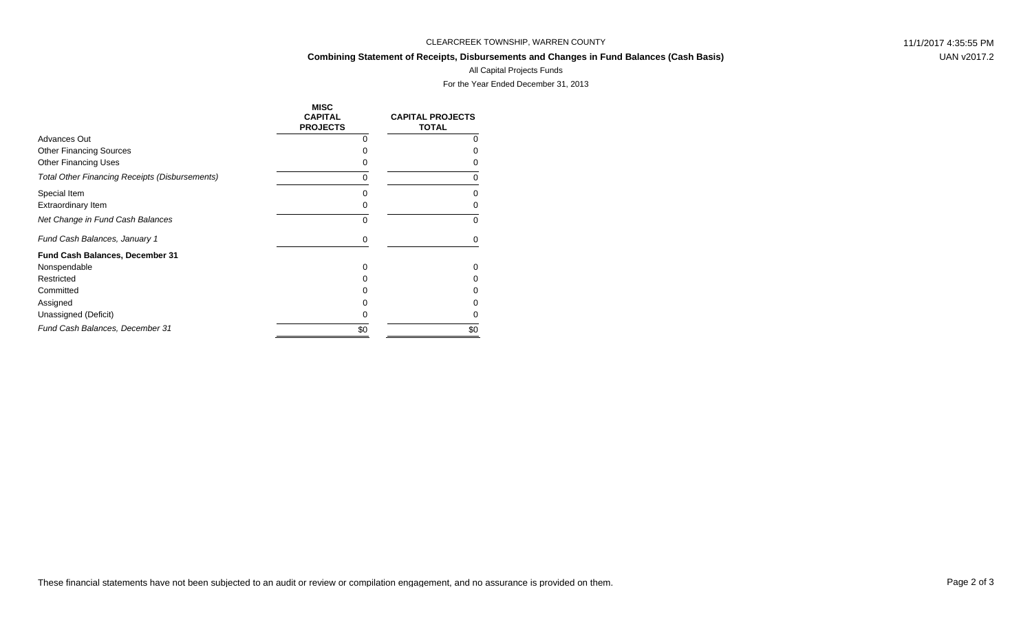#### **Combining Statement of Receipts, Disbursements and Changes in Fund Balances (Cash Basis)**

UAN v2017.2

# All Capital Projects Funds

|                                                       | <b>MISC</b><br><b>CAPITAL</b><br><b>PROJECTS</b> | <b>CAPITAL PROJECTS</b><br><b>TOTAL</b> |
|-------------------------------------------------------|--------------------------------------------------|-----------------------------------------|
| Advances Out                                          | O                                                | O                                       |
| <b>Other Financing Sources</b>                        | O                                                |                                         |
| <b>Other Financing Uses</b>                           |                                                  |                                         |
| <b>Total Other Financing Receipts (Disbursements)</b> | 0                                                | O                                       |
| Special Item                                          | O                                                |                                         |
| Extraordinary Item                                    | 0                                                | n                                       |
| Net Change in Fund Cash Balances                      | 0                                                | $\Omega$                                |
| Fund Cash Balances, January 1                         | 0                                                | 0                                       |
| Fund Cash Balances, December 31                       |                                                  |                                         |
| Nonspendable                                          | 0                                                | 0                                       |
| Restricted                                            |                                                  |                                         |
| Committed                                             |                                                  |                                         |
| Assigned                                              |                                                  |                                         |
| Unassigned (Deficit)                                  | 0                                                | Ω                                       |
| Fund Cash Balances, December 31                       | \$0                                              | \$0                                     |